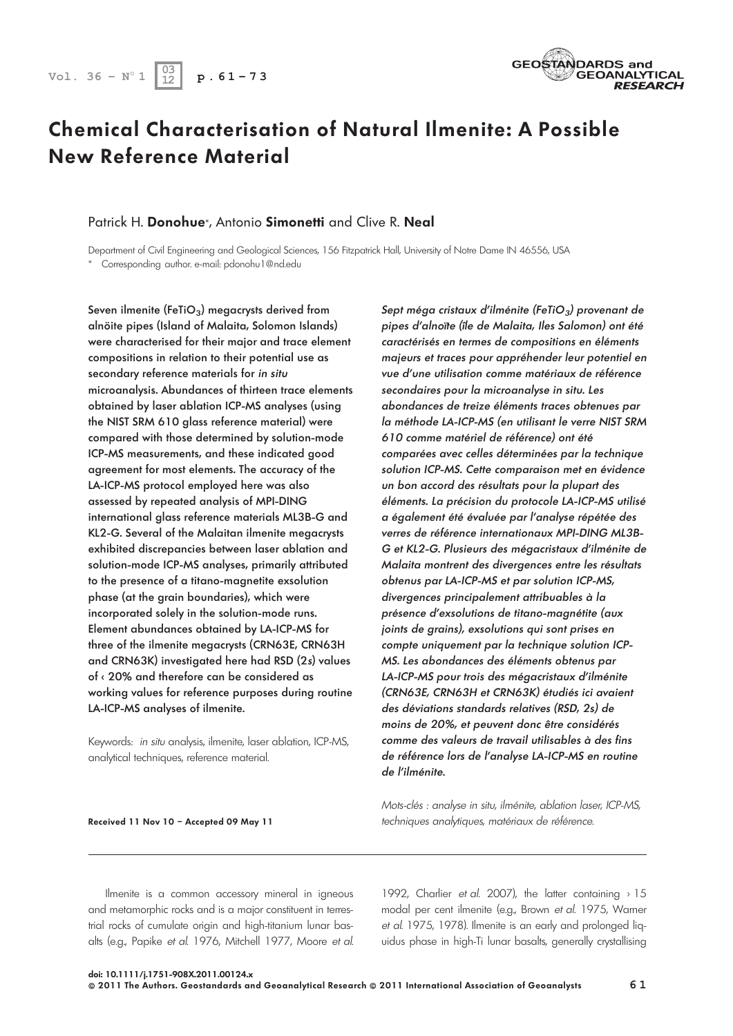# Chemical Characterisation of Natural Ilmenite: A Possible New Reference Material

### Patrick H. Donohue\*, Antonio Simonetti and Clive R. Neal

Department of Civil Engineering and Geological Sciences, 156 Fitzpatrick Hall, University of Notre Dame IN 46556, USA \* Corresponding author. e-mail: pdonohu1@nd.edu

Seven ilmenite (FeTiO<sub>3</sub>) megacrysts derived from alnöite pipes (Island of Malaita, Solomon Islands) were characterised for their major and trace element compositions in relation to their potential use as secondary reference materials for in situ microanalysis. Abundances of thirteen trace elements obtained by laser ablation ICP-MS analyses (using the NIST SRM 610 glass reference material) were compared with those determined by solution-mode ICP-MS measurements, and these indicated good agreement for most elements. The accuracy of the LA-ICP-MS protocol employed here was also assessed by repeated analysis of MPI-DING international glass reference materials ML3B-G and KL2-G. Several of the Malaitan ilmenite megacrysts exhibited discrepancies between laser ablation and solution-mode ICP-MS analyses, primarily attributed to the presence of a titano-magnetite exsolution phase (at the grain boundaries), which were incorporated solely in the solution-mode runs. Element abundances obtained by LA-ICP-MS for three of the ilmenite megacrysts (CRN63E, CRN63H and CRN63K) investigated here had RSD (2s) values of < 20% and therefore can be considered as working values for reference purposes during routine LA-ICP-MS analyses of ilmenite.

Keywords: in situ analysis, ilmenite, laser ablation, ICP-MS, analytical techniques, reference material.

Sept méga cristaux d'ilménite (FeTiO $_3$ ) provenant de pipes d'alnoïte (île de Malaita, Iles Salomon) ont été caractérisés en termes de compositions en éléments majeurs et traces pour appréhender leur potentiel en vue d'une utilisation comme matériaux de référence secondaires pour la microanalyse in situ. Les abondances de treize éléments traces obtenues par la méthode LA-ICP-MS (en utilisant le verre NIST SRM 610 comme matériel de référence) ont été comparées avec celles déterminées par la technique solution ICP-MS. Cette comparaison met en évidence un bon accord des résultats pour la plupart des éléments. La précision du protocole LA-ICP-MS utilisé a également été évaluée par l'analyse répétée des verres de référence internationaux MPI-DING ML3B-G et KL2-G. Plusieurs des mégacristaux d'ilménite de Malaita montrent des divergences entre les résultats obtenus par LA-ICP-MS et par solution ICP-MS, divergences principalement attribuables à la présence d'exsolutions de titano-magnétite (aux joints de grains), exsolutions qui sont prises en compte uniquement par la technique solution ICP-MS. Les abondances des éléments obtenus par LA-ICP-MS pour trois des mégacristaux d'ilménite (CRN63E, CRN63H et CRN63K) étudiés ici avaient des déviations standards relatives (RSD, 2s) de moins de 20%, et peuvent donc être considérés comme des valeurs de travail utilisables à des fins de référence lors de l'analyse LA-ICP-MS en routine de l'ilménite.

Mots-clés : analyse in situ, ilménite, ablation laser, ICP-MS, techniques analytiques, matériaux de référence.

Ilmenite is a common accessory mineral in igneous and metamorphic rocks and is a major constituent in terrestrial rocks of cumulate origin and high-titanium lunar basalts (e.g., Papike et al. 1976, Mitchell 1977, Moore et al. 1992, Charlier et al. 2007), the latter containing > 15 modal per cent ilmenite (e.g., Brown et al. 1975, Warner et al. 1975, 1978). Ilmenite is an early and prolonged liquidus phase in high-Ti lunar basalts, generally crystallising



Received 11 Nov 10 – Accepted 09 May 11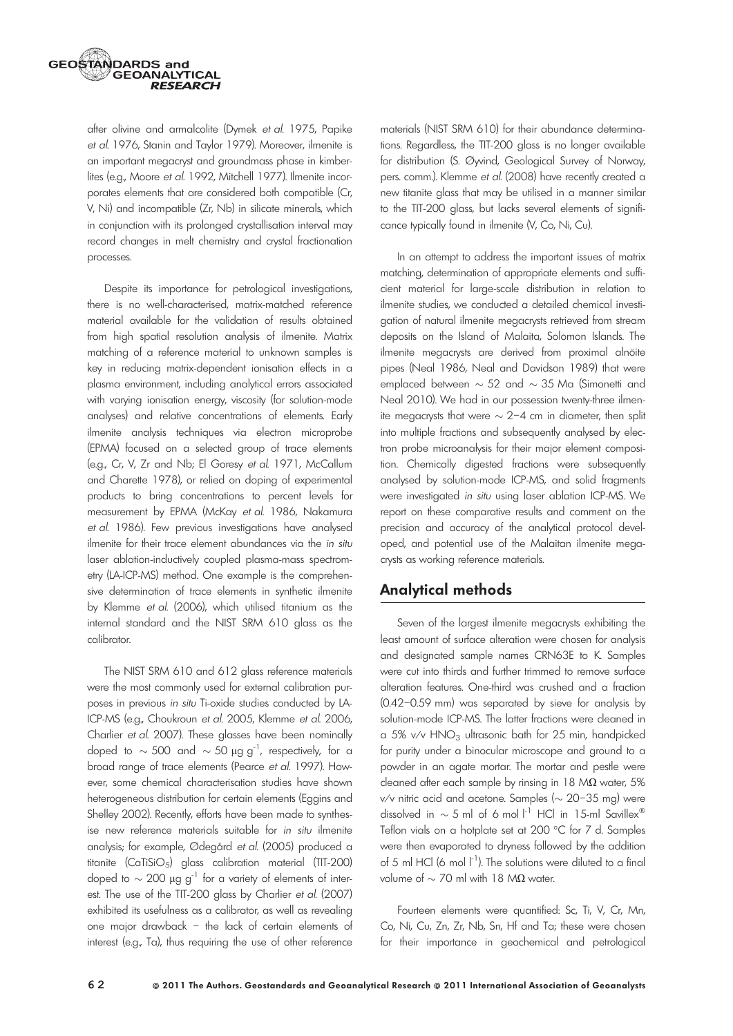

after olivine and armalcolite (Dymek et al. 1975, Papike et al. 1976, Stanin and Taylor 1979). Moreover, ilmenite is an important megacryst and groundmass phase in kimberlites (e.g., Moore et al. 1992, Mitchell 1977). Ilmenite incorporates elements that are considered both compatible (Cr, V, Ni) and incompatible (Zr, Nb) in silicate minerals, which in conjunction with its prolonged crystallisation interval may record changes in melt chemistry and crystal fractionation processes.

Despite its importance for petrological investigations, there is no well-characterised, matrix-matched reference material available for the validation of results obtained from high spatial resolution analysis of ilmenite. Matrix matching of a reference material to unknown samples is key in reducing matrix-dependent ionisation effects in a plasma environment, including analytical errors associated with varying ionisation energy, viscosity (for solution-mode analyses) and relative concentrations of elements. Early ilmenite analysis techniques via electron microprobe (EPMA) focused on a selected group of trace elements (e.g., Cr, V, Zr and Nb; El Goresy et al. 1971, McCallum and Charette 1978), or relied on doping of experimental products to bring concentrations to percent levels for measurement by EPMA (McKay et al. 1986, Nakamura et al. 1986). Few previous investigations have analysed ilmenite for their trace element abundances via the in situ laser ablation-inductively coupled plasma-mass spectrometry (LA-ICP-MS) method. One example is the comprehensive determination of trace elements in synthetic ilmenite by Klemme et al. (2006), which utilised titanium as the internal standard and the NIST SRM 610 glass as the calibrator.

The NIST SRM 610 and 612 glass reference materials were the most commonly used for external calibration purposes in previous in situ Ti-oxide studies conducted by LA-ICP-MS (e.g., Choukroun et al. 2005, Klemme et al. 2006, Charlier et al. 2007). These glasses have been nominally doped to  $\sim$  500 and  $\sim$  50  $\mu$ g g<sup>-1</sup>, respectively, for a broad range of trace elements (Pearce et al. 1997). However, some chemical characterisation studies have shown heterogeneous distribution for certain elements (Eggins and Shelley 2002). Recently, efforts have been made to synthesise new reference materials suitable for in situ ilmenite analysis; for example, Ødegård et al. (2005) produced a titanite (CaTiSiO5) glass calibration material (TIT-200) doped to  $\sim$  200  $\mu$ g g<sup>-1</sup> for a variety of elements of interest. The use of the TIT-200 glass by Charlier et al. (2007) exhibited its usefulness as a calibrator, as well as revealing one major drawback – the lack of certain elements of interest (e.g., Ta), thus requiring the use of other reference

materials (NIST SRM 610) for their abundance determinations. Regardless, the TIT-200 glass is no longer available for distribution (S. Øyvind, Geological Survey of Norway, pers. comm.). Klemme et al. (2008) have recently created a new titanite glass that may be utilised in a manner similar to the TIT-200 glass, but lacks several elements of significance typically found in ilmenite (V, Co, Ni, Cu).

In an attempt to address the important issues of matrix matching, determination of appropriate elements and sufficient material for large-scale distribution in relation to ilmenite studies, we conducted a detailed chemical investigation of natural ilmenite megacrysts retrieved from stream deposits on the Island of Malaita, Solomon Islands. The ilmenite megacrysts are derived from proximal alnöite pipes (Neal 1986, Neal and Davidson 1989) that were emplaced between  $\sim$  52 and  $\sim$  35 Ma (Simonetti and Neal 2010). We had in our possession twenty-three ilmenite megacrysts that were  $\sim$  2–4 cm in diameter, then split into multiple fractions and subsequently analysed by electron probe microanalysis for their major element composition. Chemically digested fractions were subsequently analysed by solution-mode ICP-MS, and solid fragments were investigated in situ using laser ablation ICP-MS. We report on these comparative results and comment on the precision and accuracy of the analytical protocol developed, and potential use of the Malaitan ilmenite megacrysts as working reference materials.

# Analytical methods

Seven of the largest ilmenite megacrysts exhibiting the least amount of surface alteration were chosen for analysis and designated sample names CRN63E to K. Samples were cut into thirds and further trimmed to remove surface alteration features. One-third was crushed and a fraction (0.42–0.59 mm) was separated by sieve for analysis by solution-mode ICP-MS. The latter fractions were cleaned in a 5% v/v  $HNO<sub>3</sub>$  ultrasonic bath for 25 min, handpicked for purity under a binocular microscope and ground to a powder in an agate mortar. The mortar and pestle were cleaned after each sample by rinsing in  $18 \text{ M}\Omega$  water, 5% v/v nitric acid and acetone. Samples ( $\sim$  20–35 mg) were dissolved in  $\sim$  5 ml of 6 mol  $l^{-1}$  HCl in 15-ml Savillex® Teflon vials on a hotplate set at 200 °C for 7 d. Samples were then evaporated to dryness followed by the addition of 5 ml HCl (6 mol  $\lfloor -1 \rfloor$ ). The solutions were diluted to a final volume of  $\sim$  70 ml with 18 M $\Omega$  water.

Fourteen elements were quantified: Sc, Ti, V, Cr, Mn, Co, Ni, Cu, Zn, Zr, Nb, Sn, Hf and Ta; these were chosen for their importance in geochemical and petrological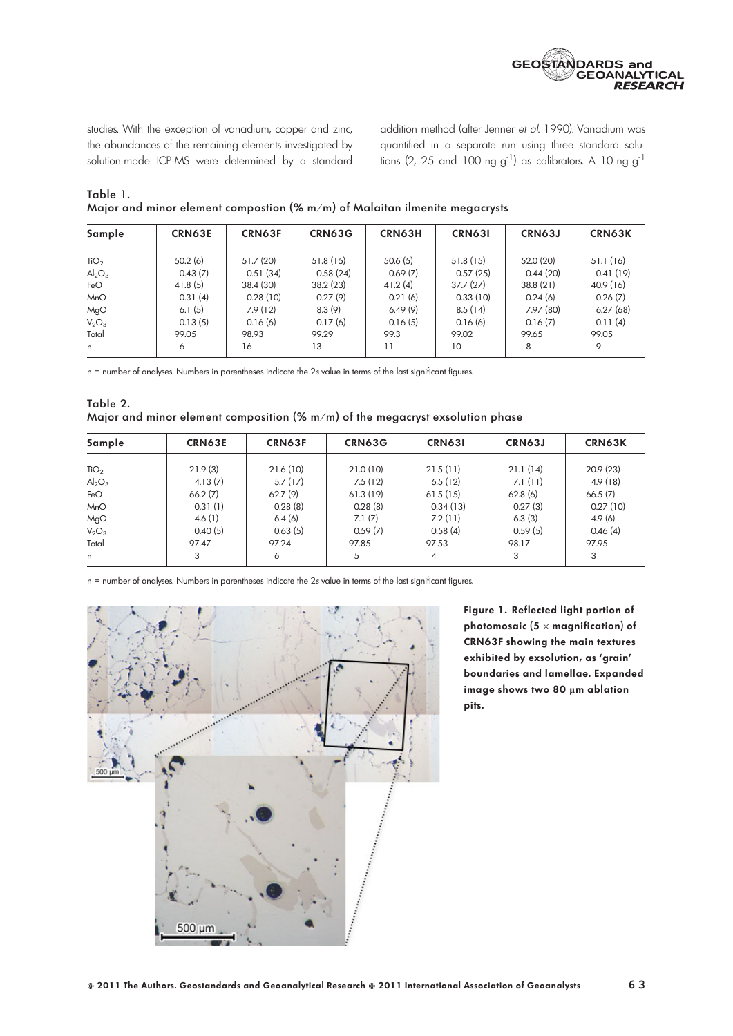

studies. With the exception of vanadium, copper and zinc, the abundances of the remaining elements investigated by solution-mode ICP-MS were determined by a standard

addition method (after Jenner et al. 1990). Vanadium was quantified in a separate run using three standard solutions (2, 25 and 100 ng  $g^{-1}$ ) as calibrators. A 10 ng  $g^{-1}$ 

| Table 1.                                                                             |  |  |
|--------------------------------------------------------------------------------------|--|--|
| Major and minor element compostion ( $\frac{m}{m}$ ) of Malaitan ilmenite megacrysts |  |  |

| Sample           | <b>CRN63E</b> | CRN63F    | <b>CRN63G</b> | CRN63H         | <b>CRN631</b> | <b>CRN63J</b> | <b>CRN63K</b> |
|------------------|---------------|-----------|---------------|----------------|---------------|---------------|---------------|
|                  |               |           |               |                |               |               |               |
| TiO <sub>2</sub> | 50.2(6)       | 51.7(20)  | 51.8(15)      | 50.6(5)        | 51.8(15)      | 52.0 (20)     | 51.1(16)      |
| $Al_2O_3$        | 0.43(7)       | 0.51(34)  | 0.58(24)      | 0.69(7)        | 0.57(25)      | 0.44(20)      | 0.41(19)      |
| FeO              | 41.8(5)       | 38.4 (30) | 38.2(23)      | 41.2(4)        | 37.7(27)      | 38.8(21)      | 40.9 (16)     |
| <b>MnO</b>       | 0.31(4)       | 0.28(10)  | 0.27(9)       | 0.21(6)        | 0.33(10)      | 0.24(6)       | 0.26(7)       |
| MgO              | 6.1(5)        | 7.9(12)   | 8.3(9)        | 6.49(9)        | 8.5(14)       | 7.97 (80)     | 6.27(68)      |
| $V_2O_3$         | 0.13(5)       | 0.16(6)   | 0.17(6)       | 0.16(5)        | 0.16(6)       | 0.16(7)       | 0.11(4)       |
| Total            | 99.05         | 98.93     | 99.29         | 99.3           | 99.02         | 99.65         | 99.05         |
| n                | 6             | 16        | 13            | $\overline{1}$ | 10            | 8             | 9             |

n = number of analyses. Numbers in parentheses indicate the 2s value in terms of the last significant figures.

Table 2. Major and minor element composition (% m/m) of the megacryst exsolution phase

| Sample           | <b>CRN63E</b> | <b>CRN63F</b> | CRN63G   | <b>CRN631</b>  | CRN63J   | <b>CRN63K</b> |
|------------------|---------------|---------------|----------|----------------|----------|---------------|
|                  |               |               |          |                |          |               |
| TiO <sub>2</sub> | 21.9(3)       | 21.6(10)      | 21.0(10) | 21.5(11)       | 21.1(14) | 20.9(23)      |
| $Al_2O_3$        | 4.13(7)       | 5.7(17)       | 7.5(12)  | 6.5(12)        | 7.1(11)  | 4.9(18)       |
| FeO              | 66.2(7)       | 62.7(9)       | 61.3(19) | 61.5(15)       | 62.8(6)  | 66.5(7)       |
| <b>MnO</b>       | 0.31(1)       | 0.28(8)       | 0.28(8)  | 0.34(13)       | 0.27(3)  | 0.27(10)      |
| MgO              | 4.6(1)        | 6.4(6)        | 7.1(7)   | 7.2(11)        | 6.3(3)   | 4.9(6)        |
| $V_2O_3$         | 0.40(5)       | 0.63(5)       | 0.59(7)  | 0.58(4)        | 0.59(5)  | 0.46(4)       |
| Total            | 97.47         | 97.24         | 97.85    | 97.53          | 98.17    | 97.95         |
| n.               | 3             | 6             | 5        | $\overline{4}$ | 3        | 3             |

n = number of analyses. Numbers in parentheses indicate the 2s value in terms of the last significant figures.



Figure 1. Reflected light portion of photomosaic (5  $\times$  magnification) of CRN63F showing the main textures exhibited by exsolution, as 'grain' boundaries and lamellae. Expanded image shows two 80 µm ablation pits.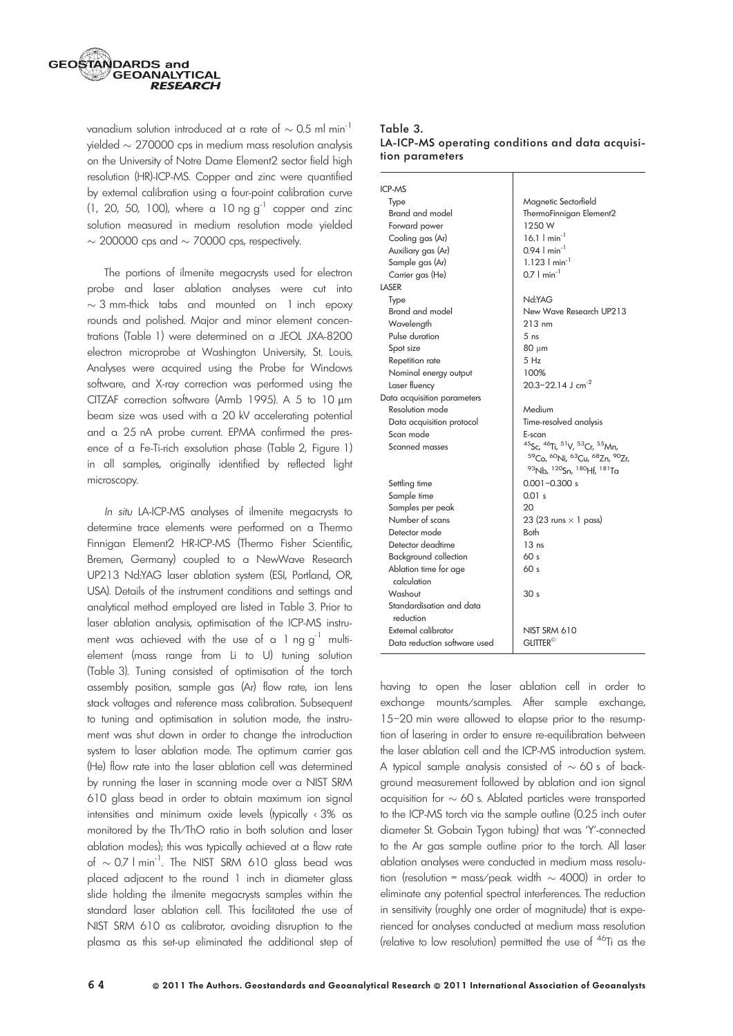

vanadium solution introduced at a rate of  $\sim$  0.5 ml min $^{-1}$ yielded  $\sim$  270000 cps in medium mass resolution analysis on the University of Notre Dame Element2 sector field high resolution (HR)-ICP-MS. Copper and zinc were quantified by external calibration using a four-point calibration curve (1, 20, 50, 100), where a 10 ng  $g^{-1}$  copper and zinc solution measured in medium resolution mode yielded  $\sim$  200000 cps and  $\sim$  70000 cps, respectively.

The portions of ilmenite megacrysts used for electron probe and laser ablation analyses were cut into  $\sim$  3 mm-thick tabs and mounted on 1 inch epoxy rounds and polished. Major and minor element concentrations (Table 1) were determined on a JEOL JXA-8200 electron microprobe at Washington University, St. Louis. Analyses were acquired using the Probe for Windows software, and X-ray correction was performed using the CITZAF correction software (Armb 1995). A 5 to 10 um beam size was used with a 20 kV accelerating potential and a 25 nA probe current. EPMA confirmed the presence of a Fe-Ti-rich exsolution phase (Table 2, Figure 1) in all samples, originally identified by reflected light microscopy.

In situ LA-ICP-MS analyses of ilmenite megacrysts to determine trace elements were performed on a Thermo Finnigan Element2 HR-ICP-MS (Thermo Fisher Scientific, Bremen, Germany) coupled to a NewWave Research UP213 Nd:YAG laser ablation system (ESI, Portland, OR, USA). Details of the instrument conditions and settings and analytical method employed are listed in Table 3. Prior to laser ablation analysis, optimisation of the ICP-MS instrument was achieved with the use of a  $1$  ng g<sup>-1</sup> multielement (mass range from Li to U) tuning solution (Table 3). Tuning consisted of optimisation of the torch assembly position, sample gas (Ar) flow rate, ion lens stack voltages and reference mass calibration. Subsequent to tuning and optimisation in solution mode, the instrument was shut down in order to change the introduction system to laser ablation mode. The optimum carrier gas (He) flow rate into the laser ablation cell was determined by running the laser in scanning mode over a NIST SRM 610 glass bead in order to obtain maximum ion signal intensities and minimum oxide levels (typically < 3% as monitored by the Th/ThO ratio in both solution and laser ablation modes); this was typically achieved at a flow rate of  $\sim$  0.7 l min<sup>-1</sup>. The NIST SRM 610 glass bead was placed adjacent to the round 1 inch in diameter glass slide holding the ilmenite megacrysts samples within the standard laser ablation cell. This facilitated the use of NIST SRM 610 as calibrator, avoiding disruption to the plasma as this set-up eliminated the additional step of

#### Table 3. LA-ICP-MS operating conditions and data acquisition parameters

| <b>ICP-MS</b>                        |                               |
|--------------------------------------|-------------------------------|
| Type                                 | Magnetic Sectorfield          |
| Brand and model                      | ThermoFinnigan Element2       |
| Forward power                        | 1250 W                        |
| Cooling gas (Ar)                     | 16.1 $\ln n^{-1}$             |
| Auxiliary gas (Ar)                   | $0.94$   min <sup>-1</sup>    |
| Sample gas (Ar)                      | $1.123$   min <sup>-1</sup>   |
| Carrier gas (He)                     | $0.7$   min <sup>-1</sup>     |
| LASER                                |                               |
| Type                                 | Nd:YAG                        |
| Brand and model                      | New Wave Research UP213       |
| Wavelength                           | $213 \text{ nm}$              |
| Pulse duration                       | 5 <sub>ns</sub>               |
| Spot size                            | 80 um                         |
| Repetition rate                      | 5 Hz                          |
| Nominal energy output                | 100%                          |
| Laser fluency                        | 20.3-22.14 J cm <sup>-2</sup> |
| Data acquisition parameters          |                               |
| Resolution mode                      | Medium                        |
| Data acquisition protocol            | Time-resolved analysis        |
| Scan mode                            | E-scan                        |
| Scanned masses                       | 45Sc, 46Ti, 51V, 53Cr, 55Mn,  |
|                                      | 59Co, 60Ni, 63Cu, 68Zn, 90Zr, |
|                                      | 93Nb, 120Sn, 180Hf, 181Ta     |
| Settling time                        | $0.001 - 0.300 s$             |
| Sample time                          | 0.01 s                        |
| Samples per peak                     | 20                            |
| Number of scans                      | 23 (23 runs $\times$ 1 pass)  |
| Detector mode                        | <b>Both</b>                   |
| Detector deadtime                    | 13ns                          |
| <b>Background collection</b>         | 60 <sub>s</sub>               |
| Ablation time for age<br>calculation | 60s                           |
| Washout                              | 30 <sub>s</sub>               |
| Standardisation and data             |                               |
| reduction                            |                               |
| External calibrator                  | <b>NIST SRM 610</b>           |
| Data reduction software used         | <b>GLITTER<sup>®</sup></b>    |
|                                      |                               |

having to open the laser ablation cell in order to exchange mounts⁄samples. After sample exchange, 15–20 min were allowed to elapse prior to the resumption of lasering in order to ensure re-equilibration between the laser ablation cell and the ICP-MS introduction system. A typical sample analysis consisted of  $\sim$  60 s of background measurement followed by ablation and ion signal acquisition for  $\sim$  60 s. Ablated particles were transported to the ICP-MS torch via the sample outline (0.25 inch outer diameter St. Gobain Tygon tubing) that was 'Y'-connected to the Ar gas sample outline prior to the torch. All laser ablation analyses were conducted in medium mass resolution (resolution = mass/peak width  $\sim$  4000) in order to eliminate any potential spectral interferences. The reduction in sensitivity (roughly one order of magnitude) that is experienced for analyses conducted at medium mass resolution (relative to low resolution) permitted the use of 46Ti as the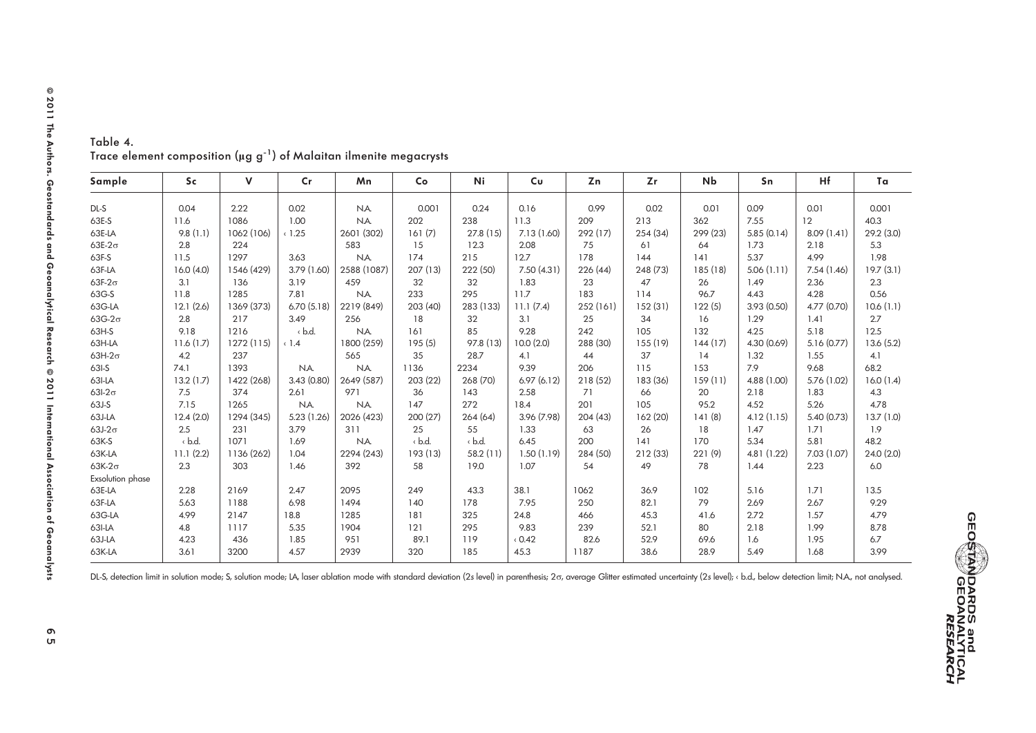| Sample                  | <b>Sc</b>    | V          | $\mathsf{Cr}$ | Mn          | Co           | Ni           | Cu          | Zn        | Zr       | Nb      | Sn          | Hf          | Ta         |
|-------------------------|--------------|------------|---------------|-------------|--------------|--------------|-------------|-----------|----------|---------|-------------|-------------|------------|
| DL-S                    | 0.04         | 2.22       | 0.02          | NA.         | 0.001        | 0.24         | 0.16        | 0.99      | 0.02     | 0.01    | 0.09        | 0.01        | 0.001      |
| 63E-S                   | 11.6         | 1086       | 1.00          | N.A.        | 202          | 238          | 11.3        | 209       | 213      | 362     | 7.55        | 12          | 40.3       |
| 63E-LA                  | 9.8(1.1)     | 1062 (106) | (1.25)        | 2601 (302)  | 161(7)       | 27.8(15)     | 7.13 (1.60) | 292(17)   | 254(34)  | 299(23) | 5.85(0.14)  | 8.09(1.41)  | 29.2 (3.0) |
| $63E-2\sigma$           | 2.8          | 224        |               | 583         | 15           | 12.3         | 2.08        | 75        | 61       | 64      | 1.73        | 2.18        | 5.3        |
| 63F-S                   | 11.5         | 1297       | 3.63          | NA.         | 174          | 215          | 12.7        | 178       | 144      | 4       | 5.37        | 4.99        | 1.98       |
| 63F-LA                  | 16.0(4.0)    | 1546 (429) | 3.79 (1.60)   | 2588 (1087) | 207(13)      | 222 (50)     | 7.50 (4.31) | 226(44)   | 248 (73) | 185(18) | 5.06(1.11)  | 7.54 (1.46) | 19.7(3.1)  |
| 63F-2 $\sigma$          | 3.1          | 136        | 3.19          | 459         | 32           | 32           | 1.83        | 23        | 47       | 26      | 1.49        | 2.36        | 2.3        |
| 63G-S                   | 11.8         | 1285       | 7.81          | NA.         | 233          | 295          | 11.7        | 183       | 114      | 96.7    | 4.43        | 4.28        | 0.56       |
| 63G-LA                  | 12.1(2.6)    | 1369 (373) | 6.70(5.18)    | 2219 (849)  | 203(40)      | 283 (133)    | 11.1(7.4)   | 252 (161) | 152(31)  | 122(5)  | 3.93(0.50)  | 4.77 (0.70) | 10.6(1.1)  |
| $63G-2\sigma$           | 2.8          | 217        | 3.49          | 256         | 18           | 32           | 3.1         | 25        | 34       | 16      | 1.29        | 1.41        | 2.7        |
| 63H-S                   | 9.18         | 1216       | $\cdot$ b.d.  | N.A.        | 161          | 85           | 9.28        | 242       | 105      | 132     | 4.25        | 5.18        | 12.5       |
| 63H-LA                  | 11.6(1.7)    | 1272(115)  | $\langle$ 1.4 | 1800 (259)  | 195(5)       | 97.8 (13)    | 10.0(2.0)   | 288 (30)  | 155(19)  | 144(17) | 4.30 (0.69) | 5.16(0.77)  | 13.6(5.2)  |
| $63H-2\sigma$           | 4.2          | 237        |               | 565         | 35           | 28.7         | 4.1         | 44        | 37       | 14      | 1.32        | 1.55        | 4.1        |
| 63I-S                   | 74.1         | 1393       | NA.           | NA.         | 1136         | 2234         | 9.39        | 206       | 115      | 153     | 7.9         | 9.68        | 68.2       |
|                         | 13.2(1.7)    | 1422 (268) | 3.43(0.80)    | 2649 (587)  | 203 (22)     | 268 (70)     | 6.97(6.12)  | 218(52)   | 183 (36) | 159(11) | 4.88 (1.00) |             | 16.0(1.4)  |
| 63I-LA                  |              |            |               |             |              |              |             |           |          |         |             | 5.76 (1.02) |            |
| $63I-2\sigma$           | 7.5          | 374        | 2.61          | 971         | 36           | 143          | 2.58        | 71        | 66       | 20      | 2.18        | 1.83        | 4.3        |
| $63J-S$                 | 7.15         | 1265       | NA.           | N.A.        | 147          | 272          | 18.4        | 201       | 105      | 95.2    | 4.52        | 5.26        | 4.78       |
| 63J-LA                  | 12.4(2.0)    | 1294 (345) | 5.23 (1.26)   | 2026 (423)  | 200(27)      | 264(64)      | 3.96 (7.98) | 204(43)   | 162(20)  | 141(8)  | 4.12(1.15)  | 5.40 (0.73) | 13.7(1.0)  |
| $63J-2\sigma$           | 2.5          | 231        | 3.79          | 311         | 25           | 55           | 1.33        | 63        | 26       | 18      | 1.47        | 1.71        | 1.9        |
| 63K-S                   | $\cdot$ b.d. | 1071       | 1.69          | N.A.        | $\cdot$ b.d. | $\cdot$ b.d. | 6.45        | 200       | 141      | 170     | 5.34        | 5.81        | 48.2       |
| 63K-LA                  | 11.1(2.2)    | 1136 (262) | 1.04          | 2294 (243)  | 193(13)      | 58.2(11)     | 1.50(1.19)  | 284 (50)  | 212(33)  | 221(9)  | 4.81 (1.22) | 7.03 (1.07) | 24.0(2.0)  |
| $63K-2\sigma$           | 2.3          | 303        | 1.46          | 392         | 58           | 19.0         | 1.07        | 54        | 49       | 78      | 1.44        | 2.23        | 6.0        |
| <b>Exsolution</b> phase |              |            |               |             |              |              |             |           |          |         |             |             |            |
| 63E-LA                  | 2.28         | 2169       | 2.47          | 2095        | 249          | 43.3         | 38.1        | 1062      | 36.9     | 102     | 5.16        | 1.71        | 13.5       |
| 63F-LA                  | 5.63         | 1188       | 6.98          | 1494        | 140          | 178          | 7.95        | 250       | 82.1     | 79      | 2.69        | 2.67        | 9.29       |
| 63G-LA                  | 4.99         | 2147       | 18.8          | 1285        | 181          | 325          | 24.8        | 466       | 45.3     | 41.6    | 2.72        | 1.57        | 4.79       |
| 63I-LA                  | 4.8          | 1117       | 5.35          | 1904        | 121          | 295          | 9.83        | 239       | 52.1     | 80      | 2.18        | 1.99        | 8.78       |
| 63J-LA                  | 4.23         | 436        | 1.85          | 951         | 89.1         | 119          | 0.42        | 82.6      | 52.9     | 69.6    | 1.6         | 1.95        | 6.7        |
| 63K-LA                  | 3.61         | 3200       | 4.57          | 2939        | 320          | 185          | 45.3        | 1187      | 38.6     | 28.9    | 5.49        | 1.68        | 3.99       |
|                         |              |            |               |             |              |              |             |           |          |         |             |             |            |

Table 4. Trace element composition (µg g<sup>-1</sup>) of Malaitan ilmenite megacrysts

DL-S, detection limit in solution mode; S, solution mode; LA, laser ablation mode with standard deviation (2s level) in parenthesis; 20, average Glitter estimated uncertainty (2s level); < b.d., below detection limit; N.A.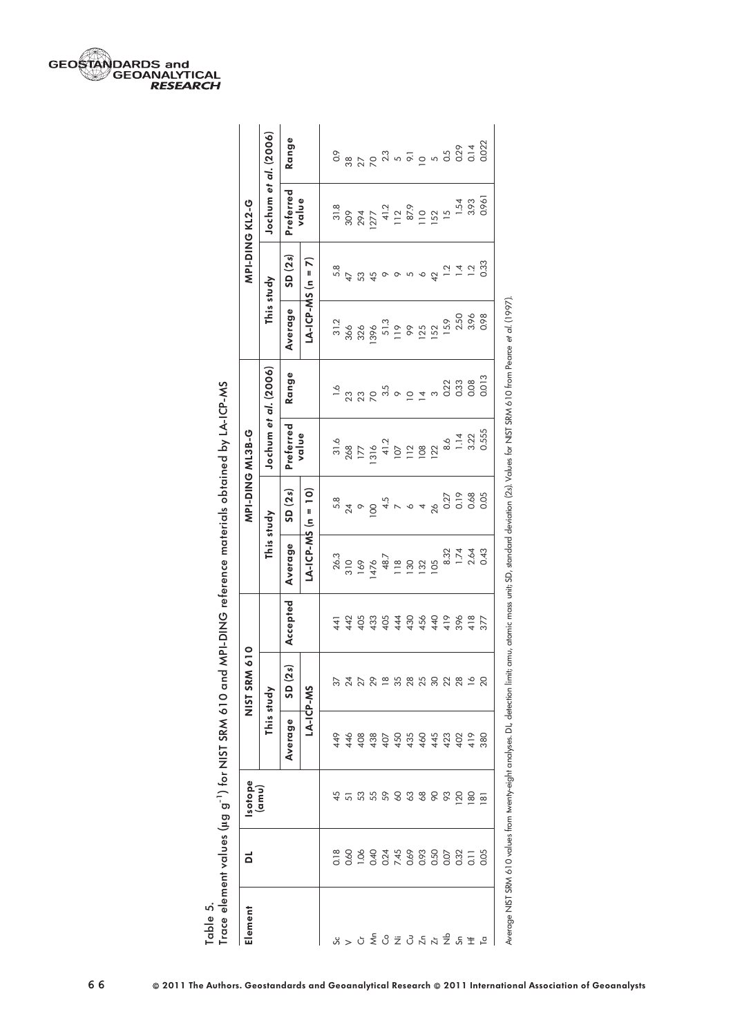| Element                     | ã                    | <b>Isotope</b>  |         | 610<br>NIST SRM               |          |                      |                                                      | MPI-DING ML3B-G              |                                                                                                                                                                                                                                   |                                                          |                             | MPI-DING KL2-G              |                                                                                                                                                                                                                                                                            |
|-----------------------------|----------------------|-----------------|---------|-------------------------------|----------|----------------------|------------------------------------------------------|------------------------------|-----------------------------------------------------------------------------------------------------------------------------------------------------------------------------------------------------------------------------------|----------------------------------------------------------|-----------------------------|-----------------------------|----------------------------------------------------------------------------------------------------------------------------------------------------------------------------------------------------------------------------------------------------------------------------|
|                             |                      | amu)            |         | This study                    |          | This study           |                                                      | Jochum <i>et al</i> . (2006) |                                                                                                                                                                                                                                   | This study                                               |                             | Jochum <i>et al.</i> (2006) |                                                                                                                                                                                                                                                                            |
|                             |                      |                 | Average | ್<br>SD(2)                    | Accepted | Average              | SD(2s)                                               | Preferred                    | Range                                                                                                                                                                                                                             | Average                                                  | SD(2s)                      | Preferred                   | Range                                                                                                                                                                                                                                                                      |
|                             |                      |                 |         | LA-ICP-MS                     |          | $LA-ICP-MS (n = 10)$ |                                                      | value                        |                                                                                                                                                                                                                                   | LA-ICP-MS $(n = 7)$                                      |                             | value                       |                                                                                                                                                                                                                                                                            |
|                             | 0.18                 | 45              | 449     |                               | 441      |                      |                                                      |                              |                                                                                                                                                                                                                                   |                                                          | 5.8                         |                             | $\overline{0}$                                                                                                                                                                                                                                                             |
| ☆ > ㅇ 좋 잉 눌 잉 넌 넉 눅 좋 않 ᆂ ㅂ | 0.60                 | 5               | 446     | 3 3 4 5 8 8 9 8 9 9 9 9 9 9 9 |          |                      | $58$<br>$740$ O $45$<br>$10$<br>$45$<br>$64$<br>$64$ |                              | $\frac{1}{2}$ 3 3 5 5 6 6 7 7 7 8 7 9 7 7 8 7 9 7 7 9 7 7 9 7 7 9 7 7 9 7 7 9 7 7 9 7 7 9 7 7 9 7 7 9 7 7 9 7 7 9 7 7 9 7 7 9 7 7 9 7 7 9 7 7 9 7 7 9 7 7 9 7 7 9 7 7 9 7 7 9 7 7 9 7 7 9 7 7 9 7 7 9 7 7 9 7 7 9 7 7 9 7 7 9 7 7 | $31.2$<br>$36.6$<br>$38.6$<br>$51.3$<br>$51.5$<br>$52.1$ | $\overline{47}$             |                             |                                                                                                                                                                                                                                                                            |
|                             | 0.1                  | 53              | 408     |                               | 4455     |                      |                                                      |                              |                                                                                                                                                                                                                                   |                                                          | 53                          |                             | $\begin{array}{l} 33.70 & 0.70 & 0.70 & 0.70 & 0.70 & 0.70 & 0.70 & 0.70 & 0.70 & 0.70 & 0.70 & 0.70 & 0.70 & 0.70 & 0.70 & 0.70 & 0.70 & 0.70 & 0.70 & 0.70 & 0.70 & 0.70 & 0.70 & 0.70 & 0.70 & 0.70 & 0.70 & 0.70 & 0.70 & 0.70 & 0.70 & 0.70 & 0.70 & 0.70 & 0.70 & 0$ |
|                             | 0.40                 | 55              | 438     |                               | 433      |                      |                                                      |                              |                                                                                                                                                                                                                                   |                                                          | 45                          |                             |                                                                                                                                                                                                                                                                            |
|                             | 0.24<br>7.45<br>0.69 | 58338           | 407     |                               | 405      |                      |                                                      |                              |                                                                                                                                                                                                                                   |                                                          | $\circ$                     |                             |                                                                                                                                                                                                                                                                            |
|                             |                      |                 | 450     |                               | 444      |                      |                                                      |                              |                                                                                                                                                                                                                                   |                                                          | $\circ$                     |                             |                                                                                                                                                                                                                                                                            |
|                             |                      |                 | 435     |                               | 456      |                      |                                                      |                              |                                                                                                                                                                                                                                   |                                                          | 5                           |                             |                                                                                                                                                                                                                                                                            |
|                             | 0.93                 |                 | 460     |                               |          |                      |                                                      |                              |                                                                                                                                                                                                                                   |                                                          | $\mathsf{\circ}$            |                             |                                                                                                                                                                                                                                                                            |
|                             | 0.50                 |                 | 445     |                               | 440      |                      | 26                                                   |                              | $\infty$                                                                                                                                                                                                                          |                                                          | $\overline{4}$              |                             |                                                                                                                                                                                                                                                                            |
|                             | 0.07                 | 83              | 423     |                               | 419      | 8.32                 | 0.27<br>0.19<br>0.68<br>0.05                         |                              | 0.33<br>0.33<br>0.08                                                                                                                                                                                                              | 15.9                                                     | $\frac{1}{2}$ $\frac{4}{4}$ |                             |                                                                                                                                                                                                                                                                            |
|                             | 0.32                 | $\overline{20}$ | 402     |                               | 396      | $\frac{74}{264}$     |                                                      |                              |                                                                                                                                                                                                                                   | 2.50<br>3.96                                             |                             | 1.54<br>3.93                |                                                                                                                                                                                                                                                                            |
|                             | $\overline{5}$       | 8               | 419     |                               | 418      |                      |                                                      |                              |                                                                                                                                                                                                                                   |                                                          | $\overline{a}$              |                             |                                                                                                                                                                                                                                                                            |
|                             | 0.05                 | ౚ               | 380     |                               | 377      |                      |                                                      | 0.555                        | 0.013                                                                                                                                                                                                                             | 0.98                                                     | 0.33                        | 0.96                        |                                                                                                                                                                                                                                                                            |

aterials obtained by LA-ICP-MS lg g-1) for NIST SRM 610 and MPI-DING reference materials obtained by LA-ICP-MS j ant values (u.a. a<sup>-1</sup>) for NIST SRM 610 and MPLDING reference Trace element values ( Table 5.<br>Trace eler

GEOSTANDARDS and<br>GEOGRAPHICAL RESEARCH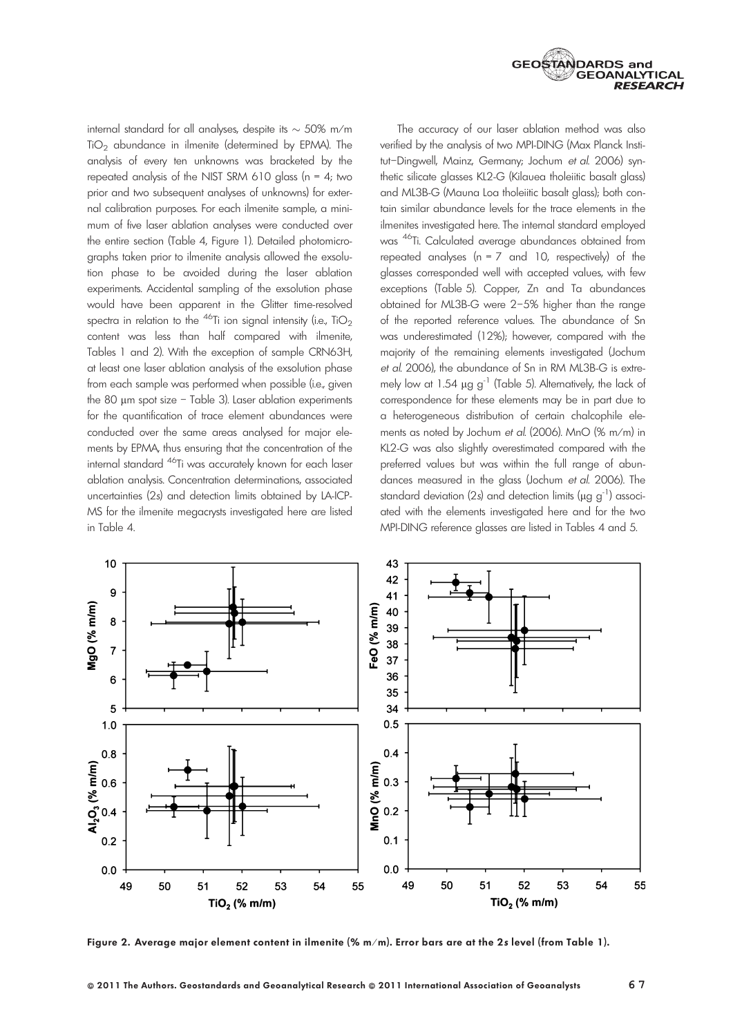

internal standard for all analyses, despite its  $\sim$  50% m/m  $TiO<sub>2</sub>$  abundance in ilmenite (determined by EPMA). The analysis of every ten unknowns was bracketed by the repeated analysis of the NIST SRM 610 glass ( $n = 4$ ; two prior and two subsequent analyses of unknowns) for external calibration purposes. For each ilmenite sample, a minimum of five laser ablation analyses were conducted over the entire section (Table 4, Figure 1). Detailed photomicrographs taken prior to ilmenite analysis allowed the exsolution phase to be avoided during the laser ablation experiments. Accidental sampling of the exsolution phase would have been apparent in the Glitter time-resolved spectra in relation to the <sup>46</sup>Ti ion signal intensity (i.e., TiO<sub>2</sub> content was less than half compared with ilmenite, Tables 1 and 2). With the exception of sample CRN63H, at least one laser ablation analysis of the exsolution phase from each sample was performed when possible (i.e., given the 80 um spot size - Table 3). Laser ablation experiments for the quantification of trace element abundances were conducted over the same areas analysed for major elements by EPMA, thus ensuring that the concentration of the internal standard 46Ti was accurately known for each laser ablation analysis. Concentration determinations, associated uncertainties (2s) and detection limits obtained by LA-ICP-MS for the ilmenite megacrysts investigated here are listed in Table 4.

The accuracy of our laser ablation method was also verified by the analysis of two MPI-DING (Max Planck Institut–Dingwell, Mainz, Germany; Jochum et al. 2006) synthetic silicate glasses KL2-G (Kilauea tholeiitic basalt glass) and ML3B-G (Mauna Loa tholeiitic basalt glass); both contain similar abundance levels for the trace elements in the ilmenites investigated here. The internal standard employed was 46Ti. Calculated average abundances obtained from repeated analyses ( $n = 7$  and 10, respectively) of the glasses corresponded well with accepted values, with few exceptions (Table 5). Copper, Zn and Ta abundances obtained for ML3B-G were 2–5% higher than the range of the reported reference values. The abundance of Sn was underestimated (12%); however, compared with the majority of the remaining elements investigated (Jochum et al. 2006), the abundance of Sn in RM ML3B-G is extremely low at 1.54  $\mu$ g g<sup>-1</sup> (Table 5). Alternatively, the lack of correspondence for these elements may be in part due to a heterogeneous distribution of certain chalcophile elements as noted by Jochum et al. (2006). MnO (% m ⁄ m) in KL2-G was also slightly overestimated compared with the preferred values but was within the full range of abundances measured in the glass (Jochum et al. 2006). The standard deviation (2s) and detection limits ( $\mu$ g g<sup>-1</sup>) associated with the elements investigated here and for the two MPI-DING reference glasses are listed in Tables 4 and 5.



Figure 2. Average major element content in ilmenite (% m/m). Error bars are at the 2s level (from Table 1).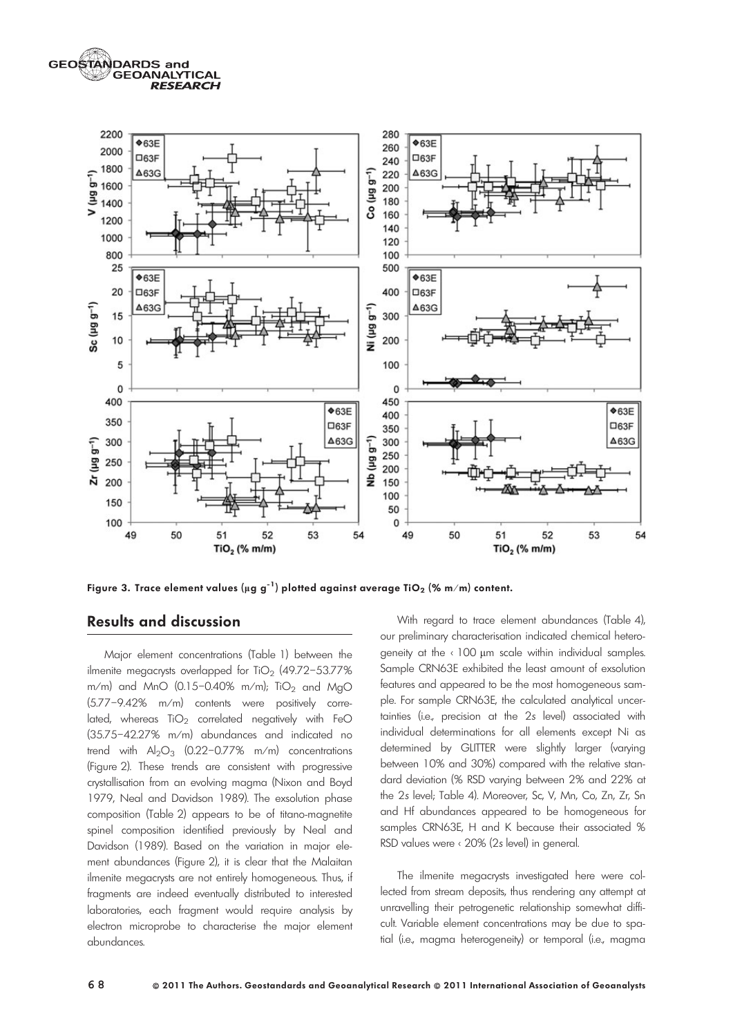GEOSTANDARDS and **GEOANALYTICAL RESEARCH** 



Figure 3. Trace element values (µg g<sup>-1</sup>) plotted against average TiO<sub>2</sub> (% m/m) content.

# Results and discussion

Major element concentrations (Table 1) between the ilmenite megacrysts overlapped for  $TiO<sub>2</sub>$  (49.72–53.77%) m/m) and MnO (0.15-0.40% m/m); TiO<sub>2</sub> and MgO (5.77-9.42% m/m) contents were positively correlated, whereas  $TiO<sub>2</sub>$  correlated negatively with FeO  $(35.75-42.27\%$  m/m) abundances and indicated no trend with  $Al_2O_3$  (0.22-0.77% m/m) concentrations (Figure 2). These trends are consistent with progressive crystallisation from an evolving magma (Nixon and Boyd 1979, Neal and Davidson 1989). The exsolution phase composition (Table 2) appears to be of titano-magnetite spinel composition identified previously by Neal and Davidson (1989). Based on the variation in major element abundances (Figure 2), it is clear that the Malaitan ilmenite megacrysts are not entirely homogeneous. Thus, if fragments are indeed eventually distributed to interested laboratories, each fragment would require analysis by electron microprobe to characterise the major element abundances.

With regard to trace element abundances (Table 4), our preliminary characterisation indicated chemical heterogeneity at the  $\left\langle 100 \right\rangle$  µm scale within individual samples. Sample CRN63E exhibited the least amount of exsolution features and appeared to be the most homogeneous sample. For sample CRN63E, the calculated analytical uncertainties (i.e., precision at the 2s level) associated with individual determinations for all elements except Ni as determined by GLITTER were slightly larger (varying between 10% and 30%) compared with the relative standard deviation (% RSD varying between 2% and 22% at the 2s level; Table 4). Moreover, Sc, V, Mn, Co, Zn, Zr, Sn and Hf abundances appeared to be homogeneous for samples CRN63E, H and K because their associated % RSD values were < 20% (2s level) in general.

The ilmenite megacrysts investigated here were collected from stream deposits, thus rendering any attempt at unravelling their petrogenetic relationship somewhat difficult. Variable element concentrations may be due to spatial (i.e., magma heterogeneity) or temporal (i.e., magma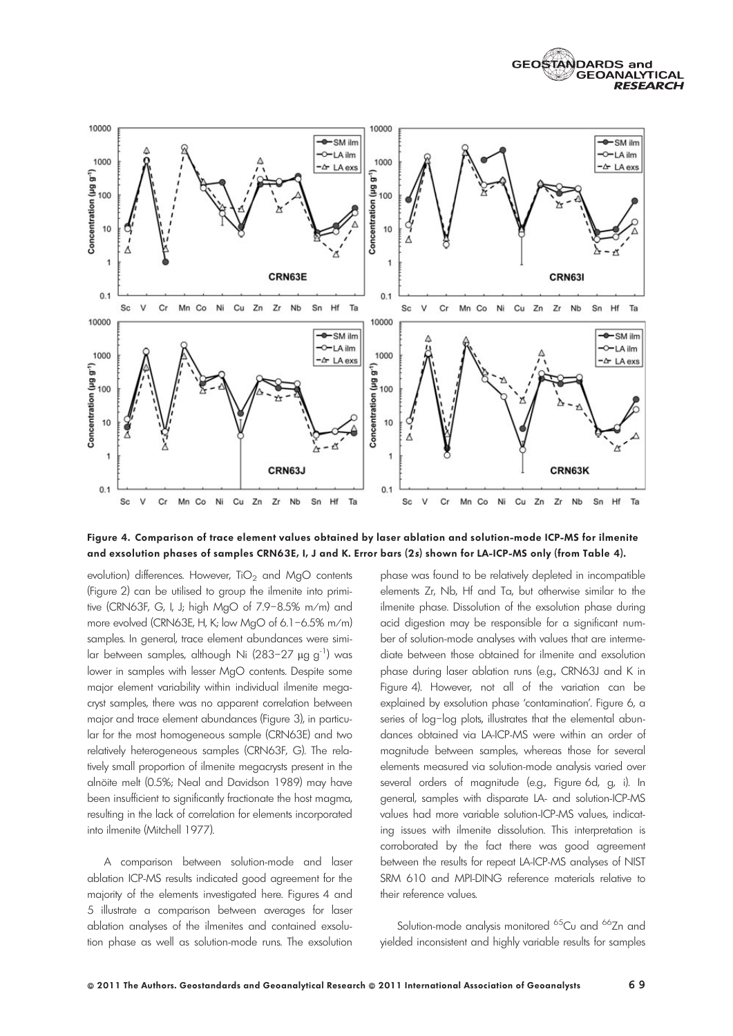



Figure 4. Comparison of trace element values obtained by laser ablation and solution-mode ICP-MS for ilmenite and exsolution phases of samples CRN63E, I, J and K. Error bars (2s) shown for LA-ICP-MS only (from Table 4).

evolution) differences. However,  $TiO<sub>2</sub>$  and MgO contents (Figure 2) can be utilised to group the ilmenite into primitive (CRN63F, G, I, J; high MgO of 7.9–8.5% m ⁄ m) and more evolved (CRN63E, H, K; low MgO of 6.1-6.5% m/m) samples. In general, trace element abundances were similar between samples, although Ni (283-27  $\mu$ g g<sup>-1</sup>) was lower in samples with lesser MgO contents. Despite some major element variability within individual ilmenite megacryst samples, there was no apparent correlation between major and trace element abundances (Figure 3), in particular for the most homogeneous sample (CRN63E) and two relatively heterogeneous samples (CRN63F, G). The relatively small proportion of ilmenite megacrysts present in the alnöite melt (0.5%; Neal and Davidson 1989) may have been insufficient to significantly fractionate the host magma, resulting in the lack of correlation for elements incorporated into ilmenite (Mitchell 1977).

A comparison between solution-mode and laser ablation ICP-MS results indicated good agreement for the majority of the elements investigated here. Figures 4 and 5 illustrate a comparison between averages for laser ablation analyses of the ilmenites and contained exsolution phase as well as solution-mode runs. The exsolution

phase was found to be relatively depleted in incompatible elements Zr, Nb, Hf and Ta, but otherwise similar to the ilmenite phase. Dissolution of the exsolution phase during acid digestion may be responsible for a significant number of solution-mode analyses with values that are intermediate between those obtained for ilmenite and exsolution phase during laser ablation runs (e.g., CRN63J and K in Figure 4). However, not all of the variation can be explained by exsolution phase 'contamination'. Figure 6, a series of log–log plots, illustrates that the elemental abundances obtained via LA-ICP-MS were within an order of magnitude between samples, whereas those for several elements measured via solution-mode analysis varied over several orders of magnitude (e.g., Figure 6d, g, i). In general, samples with disparate LA- and solution-ICP-MS values had more variable solution-ICP-MS values, indicating issues with ilmenite dissolution. This interpretation is corroborated by the fact there was good agreement between the results for repeat LA-ICP-MS analyses of NIST SRM 610 and MPI-DING reference materials relative to their reference values.

Solution-mode analysis monitored <sup>65</sup>Cu and <sup>66</sup>Zn and yielded inconsistent and highly variable results for samples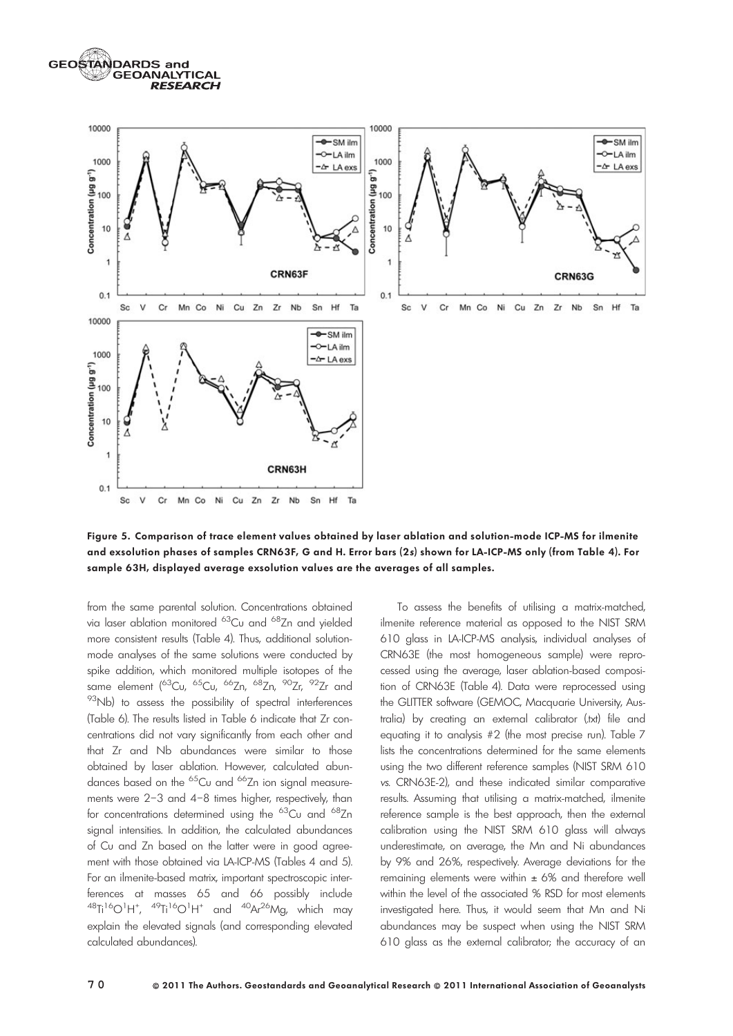**GEOSTANDARDS and GEOANALYTICAL RESEARCH** 



Figure 5. Comparison of trace element values obtained by laser ablation and solution-mode ICP-MS for ilmenite and exsolution phases of samples CRN63F, G and H. Error bars (2s) shown for LA-ICP-MS only (from Table 4). For sample 63H, displayed average exsolution values are the averages of all samples.

from the same parental solution. Concentrations obtained via laser ablation monitored <sup>63</sup>Cu and <sup>68</sup>Zn and yielded more consistent results (Table 4). Thus, additional solutionmode analyses of the same solutions were conducted by spike addition, which monitored multiple isotopes of the same element (<sup>63</sup>Cu, <sup>65</sup>Cu, <sup>66</sup>Zn, <sup>68</sup>Zn, <sup>90</sup>Zr, <sup>92</sup>Zr and <sup>93</sup>Nb) to assess the possibility of spectral interferences (Table 6). The results listed in Table 6 indicate that Zr concentrations did not vary significantly from each other and that Zr and Nb abundances were similar to those obtained by laser ablation. However, calculated abundances based on the <sup>65</sup>Cu and <sup>66</sup>Zn ion signal measurements were 2–3 and 4–8 times higher, respectively, than for concentrations determined using the  ${}^{63}$ Cu and  ${}^{68}$ Zn signal intensities. In addition, the calculated abundances of Cu and Zn based on the latter were in good agreement with those obtained via LA-ICP-MS (Tables 4 and 5). For an ilmenite-based matrix, important spectroscopic interferences at masses 65 and 66 possibly include  $^{48}$ Ti<sup>16</sup>O<sup>1</sup>H<sup>+</sup>,  $^{49}$ Ti<sup>16</sup>O<sup>1</sup>H<sup>+</sup> and  $^{40}$ Ar<sup>26</sup>Mg, which may explain the elevated signals (and corresponding elevated calculated abundances).

To assess the benefits of utilising a matrix-matched, ilmenite reference material as opposed to the NIST SRM 610 glass in LA-ICP-MS analysis, individual analyses of CRN63E (the most homogeneous sample) were reprocessed using the average, laser ablation-based composition of CRN63E (Table 4). Data were reprocessed using the GLITTER software (GEMOC, Macquarie University, Australia) by creating an external calibrator (.txt) file and equating it to analysis #2 (the most precise run). Table 7 lists the concentrations determined for the same elements using the two different reference samples (NIST SRM 610 vs. CRN63E-2), and these indicated similar comparative results. Assuming that utilising a matrix-matched, ilmenite reference sample is the best approach, then the external calibration using the NIST SRM 610 glass will always underestimate, on average, the Mn and Ni abundances by 9% and 26%, respectively. Average deviations for the remaining elements were within  $\pm$  6% and therefore well within the level of the associated % RSD for most elements investigated here. Thus, it would seem that Mn and Ni abundances may be suspect when using the NIST SRM 610 glass as the external calibrator; the accuracy of an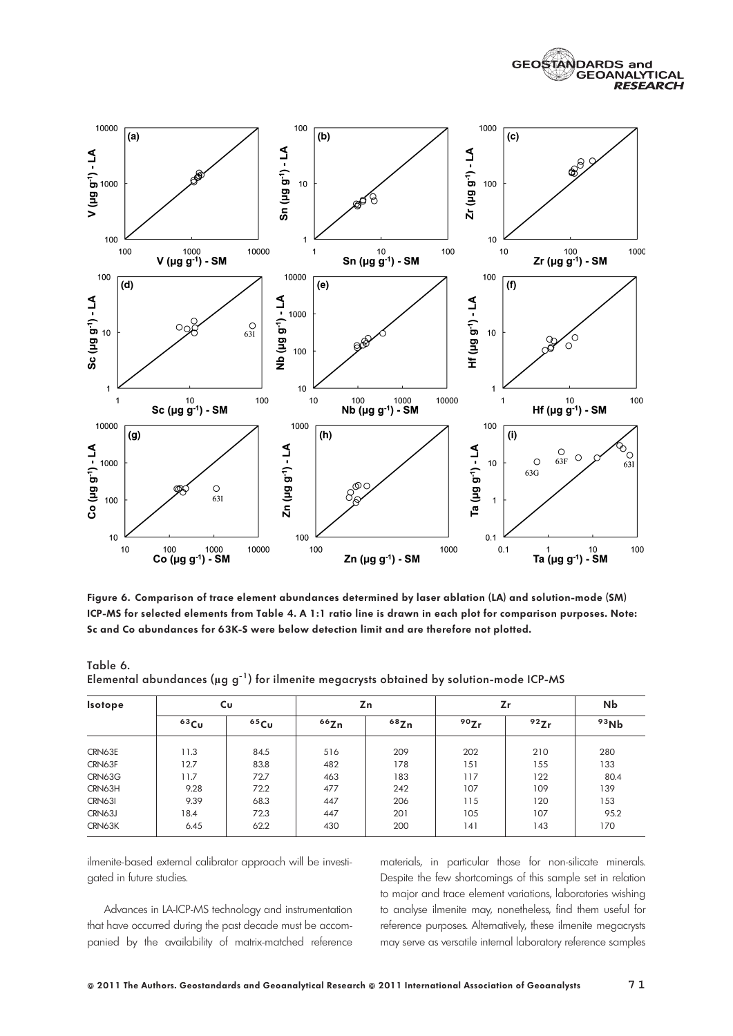



Figure 6. Comparison of trace element abundances determined by laser ablation (LA) and solution-mode (SM) ICP-MS for selected elements from Table 4. A 1:1 ratio line is drawn in each plot for comparison purposes. Note: Sc and Co abundances for 63K-S were below detection limit and are therefore not plotted.

|               | Elemental abundances ( $\mu$ g g <sup>-1</sup> ) for ilmenite megacrysts obtained by solution-mode ICP-MS |         |      |      |      |      |      |
|---------------|-----------------------------------------------------------------------------------------------------------|---------|------|------|------|------|------|
| Isotope       |                                                                                                           | Cu      |      | Zn   |      | Ζr   | Nb   |
|               | $63$ Cu                                                                                                   | $65$ Cu | 66Zn | 68Zn | 90Zr | 92Zr | 93Nb |
| CRN63E        | 11.3                                                                                                      | 84.5    | 516  | 209  | 202  | 210  | 280  |
| CRN63F        | 12.7                                                                                                      | 83.8    | 482  | 178  | 151  | 155  | 133  |
| CRN63G        | 11.7                                                                                                      | 72.7    | 463  | 183  | 117  | 122  | 80.4 |
| CRN63H        | 9.28                                                                                                      | 72.2    | 477  | 242  | 107  | 109  | 139  |
| <b>CRN631</b> | 9.39                                                                                                      | 68.3    | 447  | 206  | 115  | 120  | 153  |
| CRN63J        | 18.4                                                                                                      | 72.3    | 447  | 201  | 105  | 107  | 95.2 |

CRN63K | 6.45 | 62.2 | 430 | 200 | 141 | 143 | 170

Table 6.

ilmenite-based external calibrator approach will be investigated in future studies.

Advances in LA-ICP-MS technology and instrumentation that have occurred during the past decade must be accompanied by the availability of matrix-matched reference

materials, in particular those for non-silicate minerals. Despite the few shortcomings of this sample set in relation to major and trace element variations, laboratories wishing to analyse ilmenite may, nonetheless, find them useful for reference purposes. Alternatively, these ilmenite megacrysts may serve as versatile internal laboratory reference samples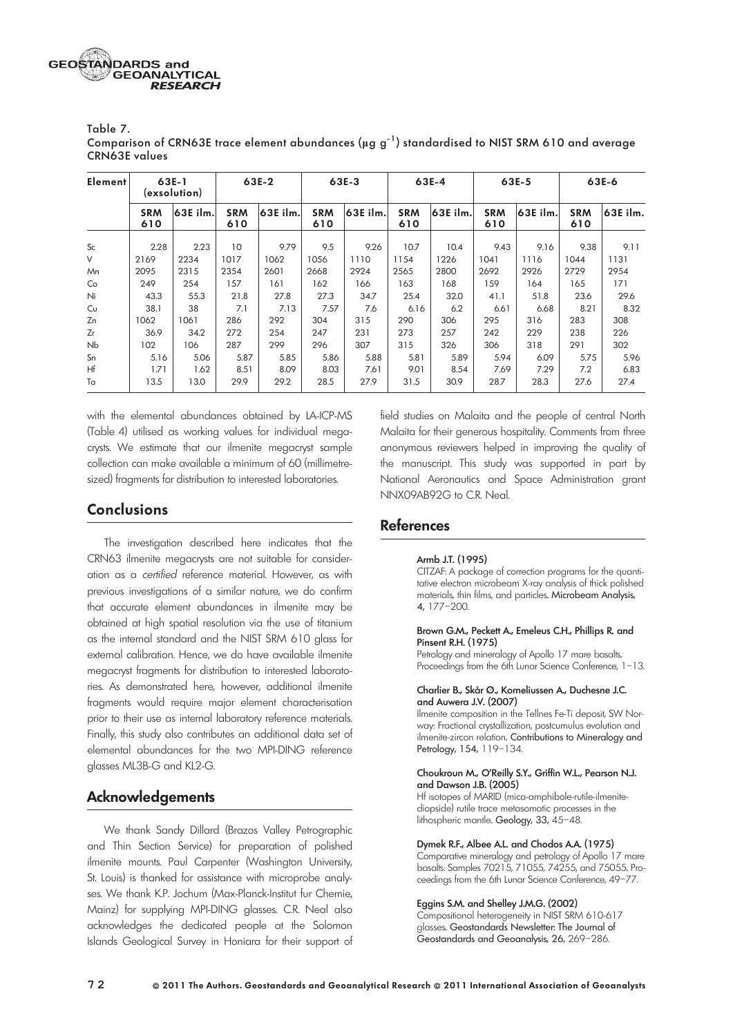| Table 7.                                                                                                           |
|--------------------------------------------------------------------------------------------------------------------|
| Comparison of CRN63E trace element abundances ( $\mu$ g g <sup>-1</sup> ) standardised to NIST SRM 610 and average |
| <b>CRN63E</b> values                                                                                               |

| <b>Element</b> |                   | 63E-1<br>(exsolution) |                   | 63E-2    |                   | 63E-3    |                   | 63E-4    |                   | 63E-5    |                   | 63E-6    |
|----------------|-------------------|-----------------------|-------------------|----------|-------------------|----------|-------------------|----------|-------------------|----------|-------------------|----------|
|                | <b>SRM</b><br>610 | 63E ilm.              | <b>SRM</b><br>610 | 63E ilm. | <b>SRM</b><br>610 | 63E ilm. | <b>SRM</b><br>610 | 63E ilm. | <b>SRM</b><br>610 | 63E ilm. | <b>SRM</b><br>610 | 63E ilm. |
| <b>Sc</b>      | 2.28              | 2.23                  | 10                | 9.79     | 9.5               | 9.26     | 10.7              | 10.4     | 9.43              | 9.16     | 9.38              | 9.11     |
| V              | 2169              | 2234                  | 1017              | 1062     | 1056              | 1110     | 1154              | 1226     | 1041              | 1116     | 1044              | 1131     |
| Mn             | 2095              | 2315                  | 2354              | 2601     | 2668              | 2924     | 2565              | 2800     | 2692              | 2926     | 2729              | 2954     |
| Co             | 249               | 254                   | 157               | 161      | 162               | 166      | 163               | 168      | 159               | 164      | 165               | 171      |
| Ni             | 43.3              | 55.3                  | 21.8              | 27.8     | 27.3              | 34.7     | 25.4              | 32.0     | 41.1              | 51.8     | 23.6              | 29.6     |
| Cu             | 38.1              | 38                    | 7.1               | 7.13     | 7.57              | 7.6      | 6.16              | 6.2      | 6.61              | 6.68     | 8.21              | 8.32     |
| Zn             | 1062              | 1061                  | 286               | 292      | 304               | 315      | 290               | 306      | 295               | 316      | 283               | 308      |
| Zr             | 36.9              | 34.2                  | 272               | 254      | 247               | 231      | 273               | 257      | 242               | 229      | 238               | 226      |
| Nb             | 102               | 106                   | 287               | 299      | 296               | 307      | 315               | 326      | 306               | 318      | 291               | 302      |
| Sn             | 5.16              | 5.06                  | 5.87              | 5.85     | 5.86              | 5.88     | 5.81              | 5.89     | 5.94              | 6.09     | 5.75              | 5.96     |
| Hf             | 1.71              | 1.62                  | 8.51              | 8.09     | 8.03              | 7.61     | 9.01              | 8.54     | 7.69              | 7.29     | 7.2               | 6.83     |
| Ta             | 13.5              | 13.0                  | 29.9              | 29.2     | 28.5              | 27.9     | 31.5              | 30.9     | 28.7              | 28.3     | 27.6              | 27.4     |

with the elemental abundances obtained by LA-ICP-MS (Table 4) utilised as working values for individual megacrysts. We estimate that our ilmenite megacryst sample collection can make available a minimum of 60 (millimetresized) fragments for distribution to interested laboratories.

# Conclusions

The investigation described here indicates that the CRN63 ilmenite megacrysts are not suitable for consideration as a certified reference material. However, as with previous investigations of a similar nature, we do confirm that accurate element abundances in ilmenite may be obtained at high spatial resolution via the use of titanium as the internal standard and the NIST SRM 610 glass for external calibration. Hence, we do have available ilmenite megacryst fragments for distribution to interested laboratories. As demonstrated here, however, additional ilmenite fragments would require major element characterisation prior to their use as internal laboratory reference materials. Finally, this study also contributes an additional data set of elemental abundances for the two MPI-DING reference glasses ML3B-G and KL2-G.

# Acknowledgements

We thank Sandy Dillard (Brazos Valley Petrographic and Thin Section Service) for preparation of polished ilmenite mounts. Paul Carpenter (Washington University, St. Louis) is thanked for assistance with microprobe analyses. We thank K.P. Jochum (Max-Planck-Institut fur Chemie, Mainz) for supplying MPI-DING glasses. C.R. Neal also acknowledges the dedicated people at the Solomon Islands Geological Survey in Honiara for their support of

field studies on Malaita and the people of central North Malaita for their generous hospitality. Comments from three anonymous reviewers helped in improving the quality of the manuscript. This study was supported in part by National Aeronautics and Space Administration grant NNX09AB92G to C.R. Neal.

# References

### Armb J.T. (1995)

CITZAF: A package of correction programs for the quantitative electron microbeam X-ray analysis of thick polished materials, thin films, and particles. Microbeam Analysis, 4, 177–200.

#### Brown G.M., Peckett A., Emeleus C.H., Phillips R. and Pinsent R.H. (1975)

Petrology and mineralogy of Apollo 17 mare basalts. Proceedings from the 6th Lunar Science Conference, 1-13.

#### Charlier B., Skår Ø., Korneliussen A., Duchesne J.C. and Auwera J.V. (2007)

Ilmenite composition in the Tellnes Fe-Ti deposit, SW Norway: Fractional crystallization, postcumulus evolution and ilmenite-zircon relation. Contributions to Mineralogy and Petrology, 154, 119–134.

#### Choukroun M., O'Reilly S.Y., Griffin W.L., Pearson N.J. and Dawson J.B. (2005)

Hf isotopes of MARID (mica-amphibole-rutile-ilmenitediopside) rutile trace metasomatic processes in the lithospheric mantle. Geology, 33, 45–48.

Dymek R.F., Albee A.L. and Chodos A.A. (1975)

Comparative mineralogy and petrology of Apollo 17 mare basalts: Samples 70215, 71055, 74255, and 75055. Proceedings from the 6th Lunar Science Conference, 49–77.

#### Eggins S.M. and Shelley J.M.G. (2002)

Compositional heterogeneity in NIST SRM 610-617 glasses. Geostandards Newsletter: The Journal of Geostandards and Geoanalysis, 26, 269–286.